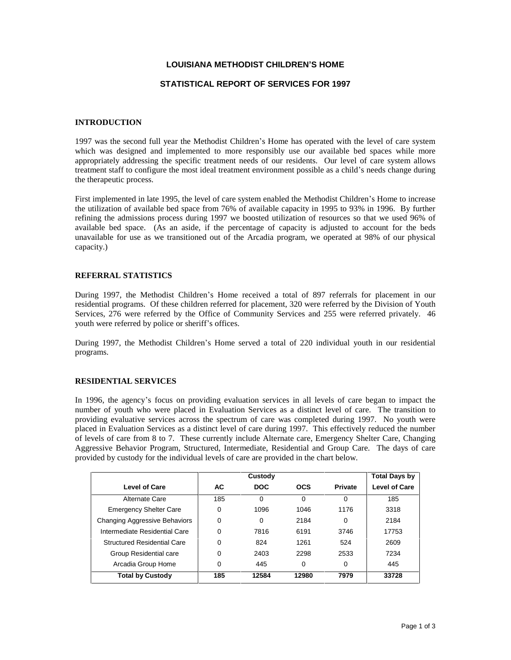# **LOUISIANA METHODIST CHILDRENíS HOME**

### **STATISTICAL REPORT OF SERVICES FOR 1997**

### **INTRODUCTION**

1997 was the second full year the Methodist Children's Home has operated with the level of care system which was designed and implemented to more responsibly use our available bed spaces while more appropriately addressing the specific treatment needs of our residents. Our level of care system allows treatment staff to configure the most ideal treatment environment possible as a child's needs change during the therapeutic process.

First implemented in late 1995, the level of care system enabled the Methodist Children's Home to increase the utilization of available bed space from 76% of available capacity in 1995 to 93% in 1996. By further refining the admissions process during 1997 we boosted utilization of resources so that we used 96% of available bed space. (As an aside, if the percentage of capacity is adjusted to account for the beds unavailable for use as we transitioned out of the Arcadia program, we operated at 98% of our physical capacity.)

### **REFERRAL STATISTICS**

During 1997, the Methodist Childrenís Home received a total of 897 referrals for placement in our residential programs. Of these children referred for placement, 320 were referred by the Division of Youth Services, 276 were referred by the Office of Community Services and 255 were referred privately. 46 youth were referred by police or sheriff's offices.

During 1997, the Methodist Children's Home served a total of 220 individual youth in our residential programs.

### **RESIDENTIAL SERVICES**

In 1996, the agency's focus on providing evaluation services in all levels of care began to impact the number of youth who were placed in Evaluation Services as a distinct level of care. The transition to providing evaluative services across the spectrum of care was completed during 1997. No youth were placed in Evaluation Services as a distinct level of care during 1997. This effectively reduced the number of levels of care from 8 to 7. These currently include Alternate care, Emergency Shelter Care, Changing Aggressive Behavior Program, Structured, Intermediate, Residential and Group Care. The days of care provided by custody for the individual levels of care are provided in the chart below.

|                                    |          | Custody    |            | Total Days by  |                      |
|------------------------------------|----------|------------|------------|----------------|----------------------|
| <b>Level of Care</b>               | AC.      | <b>DOC</b> | <b>OCS</b> | <b>Private</b> | <b>Level of Care</b> |
| Alternate Care                     | 185      | 0          | $\Omega$   | $\Omega$       | 185                  |
| <b>Emergency Shelter Care</b>      | 0        | 1096       | 1046       | 1176           | 3318                 |
| Changing Aggressive Behaviors      | $\Omega$ | 0          | 2184       | 0              | 2184                 |
| Intermediate Residential Care      | 0        | 7816       | 6191       | 3746           | 17753                |
| <b>Structured Residential Care</b> | 0        | 824        | 1261       | 524            | 2609                 |
| Group Residential care             | 0        | 2403       | 2298       | 2533           | 7234                 |
| Arcadia Group Home                 | 0        | 445        | 0          | 0              | 445                  |
| <b>Total by Custody</b>            | 185      | 12584      | 12980      | 7979           | 33728                |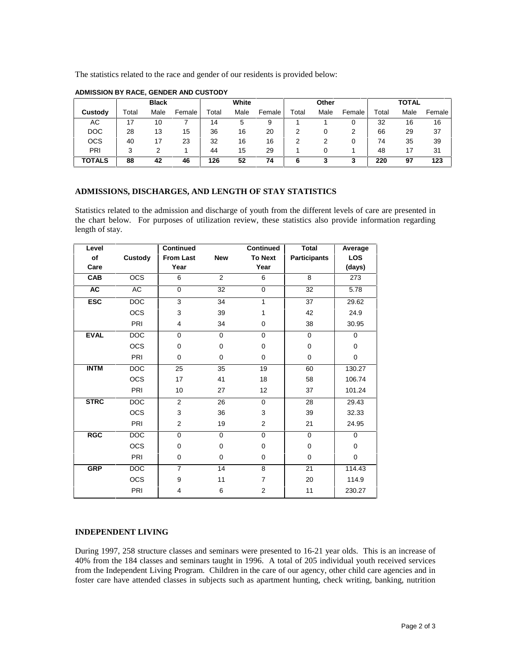The statistics related to the race and gender of our residents is provided below:

|               | <b>Black</b> |      | White  |       | Other |        |       | <b>TOTAL</b> |        |             |      |        |
|---------------|--------------|------|--------|-------|-------|--------|-------|--------------|--------|-------------|------|--------|
| Custody       | Total        | Male | Female | Total | Male  | Female | Total | Male         | Female | $\tau$ otal | Male | Female |
| АC            | 17           | 10   |        | 14    | 5     | 9      |       |              |        | 32          | 16   | 16     |
| <b>DOC</b>    | 28           | 13   | 15     | 36    | 16    | 20     |       |              |        | 66          | 29   | 37     |
| <b>OCS</b>    | 40           | 17   | 23     | 32    | 16    | 16     |       |              |        | 74          | 35   | 39     |
| PRI           | 2            |      |        | 44    | 15    | 29     |       |              |        | 48          | 17   | 31     |
| <b>TOTALS</b> | 88           | 42   | 46     | 126   | 52    | 74     | 6     |              | 3      | 220         | 97   | 123    |

# **ADMISSION BY RACE, GENDER AND CUSTODY**

# **ADMISSIONS, DISCHARGES, AND LENGTH OF STAY STATISTICS**

Statistics related to the admission and discharge of youth from the different levels of care are presented in the chart below. For purposes of utilization review, these statistics also provide information regarding length of stay.

| Level       |                  | <b>Continued</b> |             | <b>Continued</b>        | <b>Total</b>        | Average     |
|-------------|------------------|------------------|-------------|-------------------------|---------------------|-------------|
| of          | <b>Custody</b>   | <b>From Last</b> | <b>New</b>  | <b>To Next</b>          | <b>Participants</b> | LOS         |
| Care        |                  | Year             |             | Year                    |                     | (days)      |
| CAB         | $\overline{OCS}$ | 6                | 2           | 6                       | 8                   | 273         |
| <b>AC</b>   | AC               | $\mathbf 0$      | 32          | 0                       | 32                  | 5.78        |
| <b>ESC</b>  | <b>DOC</b>       | 3                | 34          | 1                       | 37                  | 29.62       |
|             | <b>OCS</b>       | 3                | 39          | 1                       | 42                  | 24.9        |
|             | PRI              | 4                | 34          | 0                       | 38                  | 30.95       |
| <b>EVAL</b> | <b>DOC</b>       | $\mathbf 0$      | 0           | 0                       | $\Omega$            | $\mathbf 0$ |
|             | <b>OCS</b>       | $\mathbf 0$      | $\mathbf 0$ | 0                       | $\mathbf 0$         | $\mathbf 0$ |
|             | PRI              | 0                | $\mathbf 0$ | 0                       | 0                   | $\mathbf 0$ |
| <b>INTM</b> | <b>DOC</b>       | 25               | 35          | 19                      | 60                  | 130.27      |
|             | <b>OCS</b>       | 17               | 41          | 18                      | 58                  | 106.74      |
|             | <b>PRI</b>       | 10               | 27          | 12                      | 37                  | 101.24      |
| <b>STRC</b> | DOC              | $\overline{2}$   | 26          | 0                       | 28                  | 29.43       |
|             | <b>OCS</b>       | 3                | 36          | 3                       | 39                  | 32.33       |
|             | PRI              | 2                | 19          | 2                       | 21                  | 24.95       |
| <b>RGC</b>  | <b>DOC</b>       | $\mathbf 0$      | 0           | 0                       | $\mathbf 0$         | 0           |
|             | <b>OCS</b>       | $\mathbf 0$      | $\mathbf 0$ | 0                       | 0                   | $\mathbf 0$ |
|             | PRI              | 0                | $\mathbf 0$ | 0                       | $\mathbf 0$         | $\mathbf 0$ |
| <b>GRP</b>  | <b>DOC</b>       | $\overline{7}$   | 14          | 8                       | 21                  | 114.43      |
|             | <b>OCS</b>       | 9                | 11          | 7                       | 20                  | 114.9       |
|             | PRI              | 4                | 6           | $\overline{\mathbf{c}}$ | 11                  | 230.27      |

# **INDEPENDENT LIVING**

During 1997, 258 structure classes and seminars were presented to 16-21 year olds. This is an increase of 40% from the 184 classes and seminars taught in 1996. A total of 205 individual youth received services from the Independent Living Program. Children in the care of our agency, other child care agencies and in foster care have attended classes in subjects such as apartment hunting, check writing, banking, nutrition